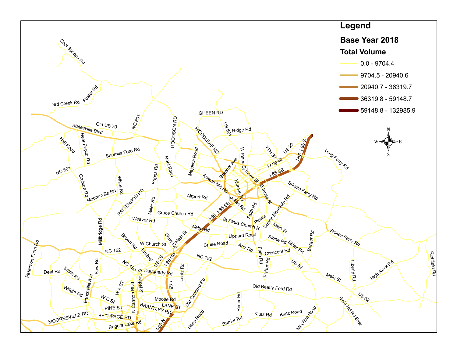